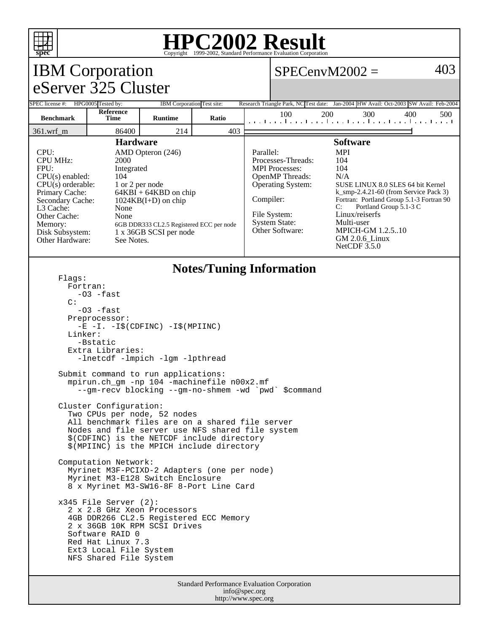

## **HPC2002 Result**

| <b>IBM</b> Corporation                                                                                                                                                                                                                                                                                                                                                                                                                          |                                                                                                                                                                                                                                 |                |       |  | 403<br>$SPECenvM2002 =$                                                                                                                                                  |                                                                                                                                                                                                                                                                                                                |     |     |     |  |
|-------------------------------------------------------------------------------------------------------------------------------------------------------------------------------------------------------------------------------------------------------------------------------------------------------------------------------------------------------------------------------------------------------------------------------------------------|---------------------------------------------------------------------------------------------------------------------------------------------------------------------------------------------------------------------------------|----------------|-------|--|--------------------------------------------------------------------------------------------------------------------------------------------------------------------------|----------------------------------------------------------------------------------------------------------------------------------------------------------------------------------------------------------------------------------------------------------------------------------------------------------------|-----|-----|-----|--|
| eServer 325 Cluster                                                                                                                                                                                                                                                                                                                                                                                                                             |                                                                                                                                                                                                                                 |                |       |  |                                                                                                                                                                          |                                                                                                                                                                                                                                                                                                                |     |     |     |  |
| SPEC license #: HPG0005 Tested by:<br>IBM Corporation Test site:                                                                                                                                                                                                                                                                                                                                                                                |                                                                                                                                                                                                                                 |                |       |  | Research Triangle Park, NC Test date: Jan-2004 HW Avail: Oct-2003 SW Avail: Feb-2004                                                                                     |                                                                                                                                                                                                                                                                                                                |     |     |     |  |
| <b>Benchmark</b>                                                                                                                                                                                                                                                                                                                                                                                                                                | <b>Reference</b><br>Time                                                                                                                                                                                                        | <b>Runtime</b> | Ratio |  | 100<br>المتما بتطاعينا بتطاعينا بتطاعينا بتطعيلية                                                                                                                        | 200                                                                                                                                                                                                                                                                                                            | 300 | 400 | 500 |  |
| 361.wrf_m                                                                                                                                                                                                                                                                                                                                                                                                                                       | 86400                                                                                                                                                                                                                           | 214            | 403   |  |                                                                                                                                                                          |                                                                                                                                                                                                                                                                                                                |     |     |     |  |
| <b>Hardware</b><br>CPU:<br>AMD Opteron (246)<br><b>CPU MHz:</b><br>2000<br>FPU:<br>Integrated<br>$CPU(s)$ enabled:<br>104<br>$CPU(s)$ orderable:<br>1 or 2 per node<br>Primary Cache:<br>$64KBI + 64KBD$ on chip<br>Secondary Cache:<br>$1024KB(I+D)$ on chip<br>L3 Cache:<br>None<br>Other Cache:<br>None<br>Memory:<br>6GB DDR333 CL2.5 Registered ECC per node<br>1 x 36GB SCSI per node<br>Disk Subsystem:<br>Other Hardware:<br>See Notes. |                                                                                                                                                                                                                                 |                |       |  | Parallel:<br>Processes-Threads:<br><b>MPI</b> Processes:<br>OpenMP Threads:<br>Operating System:<br>Compiler:<br>File System:<br><b>System State:</b><br>Other Software: | <b>Software</b><br><b>MPI</b><br>104<br>104<br>N/A<br>SUSE LINUX 8.0 SLES 64 bit Kernel<br>$k$ _smp-2.4.21-60 (from Service Pack 3)<br>Fortran: Portland Group 5.1-3 Fortran 90<br>Portland Group 5.1-3 C<br>C:<br>Linux/reiserfs<br>Multi-user<br><b>MPICH-GM 1.2.510</b><br>GM 2.0.6_Linux<br>NetCDF $3.5.0$ |     |     |     |  |
| <b>Notes/Tuning Information</b><br>Flags:<br>Fortran:<br>-03 -fast<br>$\mathcal{C}$ :<br>$-03$ $-fast$<br>Preprocessor:<br>$-E$ $-I. -I\$ (CDFINC) $-I\$ (MPIINC)<br>Linker:<br>-Bstatic<br>Extra Libraries:<br>-lnetcdf -lmpich -lgm -lpthread                                                                                                                                                                                                 |                                                                                                                                                                                                                                 |                |       |  |                                                                                                                                                                          |                                                                                                                                                                                                                                                                                                                |     |     |     |  |
| Submit command to run applications:<br>mpirun.ch_gm -np 104 -machinefile n00x2.mf<br>--gm-recv blocking --gm-no-shmem -wd `pwd` \$command                                                                                                                                                                                                                                                                                                       |                                                                                                                                                                                                                                 |                |       |  |                                                                                                                                                                          |                                                                                                                                                                                                                                                                                                                |     |     |     |  |
| Cluster Configuration:<br>Two CPUs per node, 52 nodes<br>All benchmark files are on a shared file server<br>Nodes and file server use NFS shared file system<br>\$(CDFINC) is the NETCDF include directory<br>\$(MPIINC) is the MPICH include directory                                                                                                                                                                                         |                                                                                                                                                                                                                                 |                |       |  |                                                                                                                                                                          |                                                                                                                                                                                                                                                                                                                |     |     |     |  |
| Computation Network:<br>Myrinet M3F-PCIXD-2 Adapters (one per node)<br>Myrinet M3-E128 Switch Enclosure<br>8 x Myrinet M3-SW16-8F 8-Port Line Card                                                                                                                                                                                                                                                                                              |                                                                                                                                                                                                                                 |                |       |  |                                                                                                                                                                          |                                                                                                                                                                                                                                                                                                                |     |     |     |  |
|                                                                                                                                                                                                                                                                                                                                                                                                                                                 | $x345$ File Server $(2)$ :<br>2 x 2.8 GHz Xeon Processors<br>4GB DDR266 CL2.5 Registered ECC Memory<br>2 x 36GB 10K RPM SCSI Drives<br>Software RAID 0<br>Red Hat Linux 7.3<br>Ext3 Local File System<br>NFS Shared File System |                |       |  |                                                                                                                                                                          |                                                                                                                                                                                                                                                                                                                |     |     |     |  |
| <b>Standard Performance Evaluation Corporation</b>                                                                                                                                                                                                                                                                                                                                                                                              |                                                                                                                                                                                                                                 |                |       |  |                                                                                                                                                                          |                                                                                                                                                                                                                                                                                                                |     |     |     |  |

info@spec.org http://www.spec.org